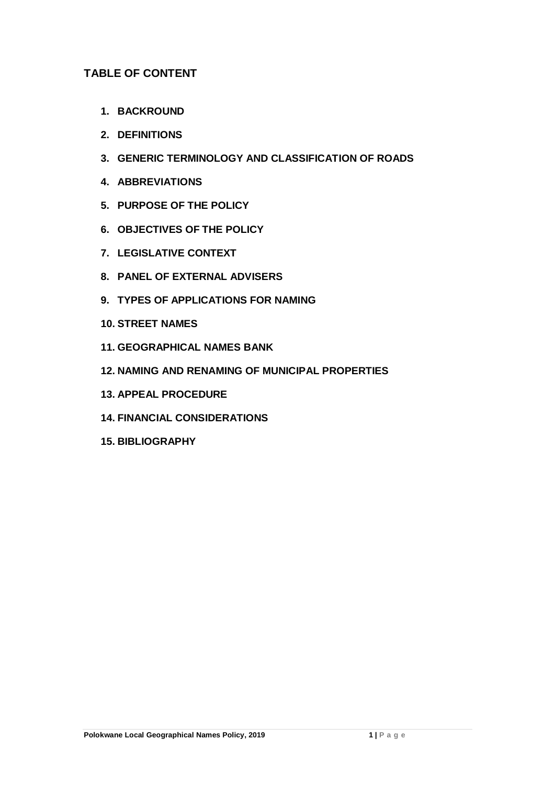## **TABLE OF CONTENT**

- **1. BACKROUND**
- **2. DEFINITIONS**
- **3. GENERIC TERMINOLOGY AND CLASSIFICATION OF ROADS**
- **4. ABBREVIATIONS**
- **5. PURPOSE OF THE POLICY**
- **6. OBJECTIVES OF THE POLICY**
- **7. LEGISLATIVE CONTEXT**
- **8. PANEL OF EXTERNAL ADVISERS**
- **9. TYPES OF APPLICATIONS FOR NAMING**
- **10. STREET NAMES**
- **11. GEOGRAPHICAL NAMES BANK**
- **12. NAMING AND RENAMING OF MUNICIPAL PROPERTIES**
- **13. APPEAL PROCEDURE**
- **14. FINANCIAL CONSIDERATIONS**
- **15. BIBLIOGRAPHY**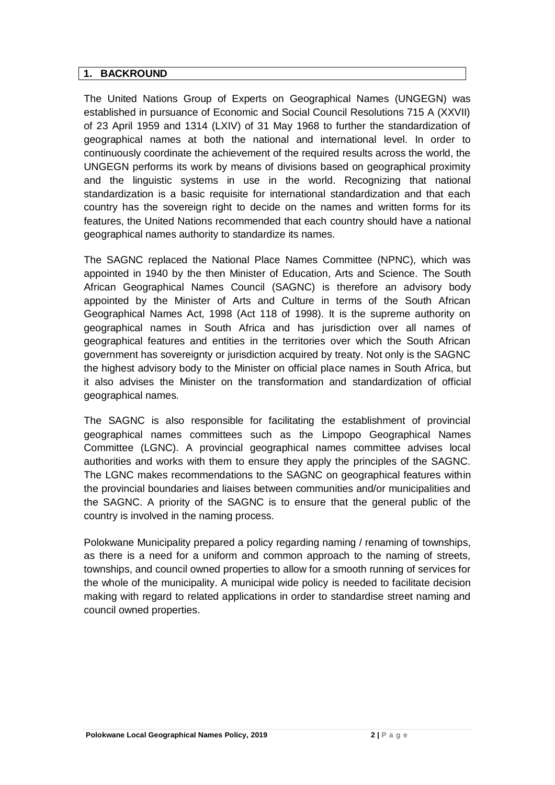#### **1. BACKROUND**

The United Nations Group of Experts on Geographical Names (UNGEGN) was established in pursuance of Economic and Social Council Resolutions 715 A (XXVII) of 23 April 1959 and 1314 (LXIV) of 31 May 1968 to further the standardization of geographical names at both the national and international level. In order to continuously coordinate the achievement of the required results across the world, the UNGEGN performs its work by means of divisions based on geographical proximity and the linguistic systems in use in the world. Recognizing that national standardization is a basic requisite for international standardization and that each country has the sovereign right to decide on the names and written forms for its features, the United Nations recommended that each country should have a national geographical names authority to standardize its names.

The SAGNC replaced the National Place Names Committee (NPNC), which was appointed in 1940 by the then Minister of Education, Arts and Science. The South African Geographical Names Council (SAGNC) is therefore an advisory body appointed by the Minister of Arts and Culture in terms of the South African Geographical Names Act, 1998 (Act 118 of 1998). It is the supreme authority on geographical names in South Africa and has jurisdiction over all names of geographical features and entities in the territories over which the South African government has sovereignty or jurisdiction acquired by treaty. Not only is the SAGNC the highest advisory body to the Minister on official place names in South Africa, but it also advises the Minister on the transformation and standardization of official geographical names.

The SAGNC is also responsible for facilitating the establishment of provincial geographical names committees such as the Limpopo Geographical Names Committee (LGNC). A provincial geographical names committee advises local authorities and works with them to ensure they apply the principles of the SAGNC. The LGNC makes recommendations to the SAGNC on geographical features within the provincial boundaries and liaises between communities and/or municipalities and the SAGNC. A priority of the SAGNC is to ensure that the general public of the country is involved in the naming process.

Polokwane Municipality prepared a policy regarding naming / renaming of townships, as there is a need for a uniform and common approach to the naming of streets, townships, and council owned properties to allow for a smooth running of services for the whole of the municipality. A municipal wide policy is needed to facilitate decision making with regard to related applications in order to standardise street naming and council owned properties.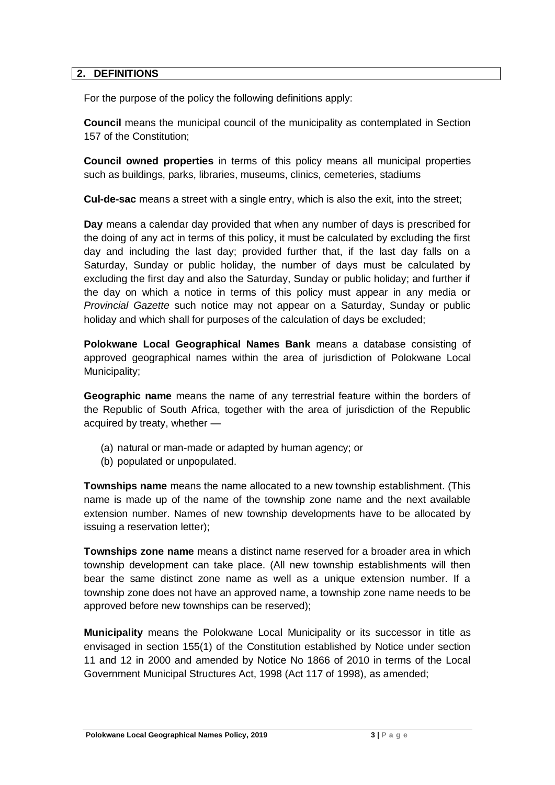#### **2. DEFINITIONS**

For the purpose of the policy the following definitions apply:

**Council** means the municipal council of the municipality as contemplated in Section 157 of the Constitution;

**Council owned properties** in terms of this policy means all municipal properties such as buildings, parks, libraries, museums, clinics, cemeteries, stadiums

**Cul-de-sac** means a street with a single entry, which is also the exit, into the street;

**Day** means a calendar day provided that when any number of days is prescribed for the doing of any act in terms of this policy, it must be calculated by excluding the first day and including the last day; provided further that, if the last day falls on a Saturday, Sunday or public holiday, the number of days must be calculated by excluding the first day and also the Saturday, Sunday or public holiday; and further if the day on which a notice in terms of this policy must appear in any media or *Provincial Gazette* such notice may not appear on a Saturday, Sunday or public holiday and which shall for purposes of the calculation of days be excluded;

**Polokwane Local Geographical Names Bank** means a database consisting of approved geographical names within the area of jurisdiction of Polokwane Local Municipality;

**Geographic name** means the name of any terrestrial feature within the borders of the Republic of South Africa, together with the area of jurisdiction of the Republic acquired by treaty, whether —

- (a) natural or man-made or adapted by human agency; or
- (b) populated or unpopulated.

**Townships name** means the name allocated to a new township establishment. (This name is made up of the name of the township zone name and the next available extension number. Names of new township developments have to be allocated by issuing a reservation letter);

**Townships zone name** means a distinct name reserved for a broader area in which township development can take place. (All new township establishments will then bear the same distinct zone name as well as a unique extension number. If a township zone does not have an approved name, a township zone name needs to be approved before new townships can be reserved);

**Municipality** means the Polokwane Local Municipality or its successor in title as envisaged in section 155(1) of the Constitution established by Notice under section 11 and 12 in 2000 and amended by Notice No 1866 of 2010 in terms of the Local Government Municipal Structures Act, 1998 (Act 117 of 1998), as amended;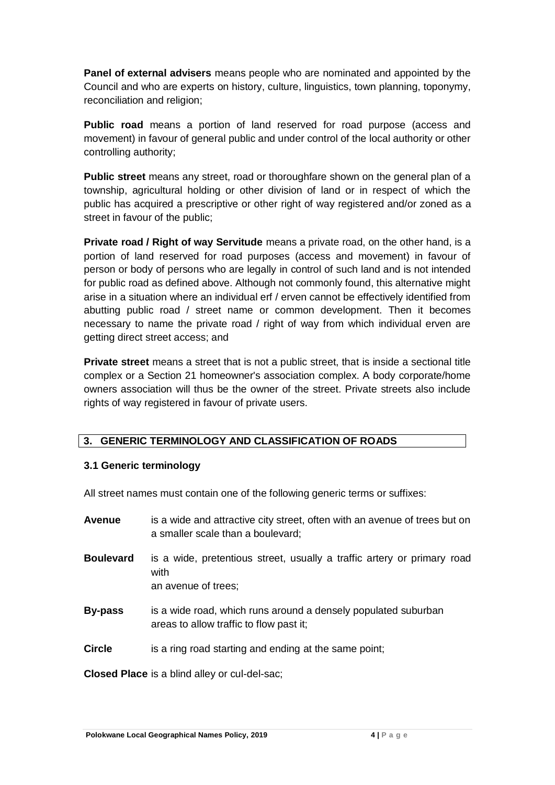**Panel of external advisers** means people who are nominated and appointed by the Council and who are experts on history, culture, linguistics, town planning, toponymy, reconciliation and religion;

**Public road** means a portion of land reserved for road purpose (access and movement) in favour of general public and under control of the local authority or other controlling authority;

**Public street** means any street, road or thoroughfare shown on the general plan of a township, agricultural holding or other division of land or in respect of which the public has acquired a prescriptive or other right of way registered and/or zoned as a street in favour of the public;

**Private road / Right of way Servitude** means a private road, on the other hand, is a portion of land reserved for road purposes (access and movement) in favour of person or body of persons who are legally in control of such land and is not intended for public road as defined above. Although not commonly found, this alternative might arise in a situation where an individual erf / erven cannot be effectively identified from abutting public road / street name or common development. Then it becomes necessary to name the private road / right of way from which individual erven are getting direct street access; and

**Private street** means a street that is not a public street, that is inside a sectional title complex or a Section 21 homeowner's association complex. A body corporate/home owners association will thus be the owner of the street. Private streets also include rights of way registered in favour of private users.

## **3. GENERIC TERMINOLOGY AND CLASSIFICATION OF ROADS**

## **3.1 Generic terminology**

All street names must contain one of the following generic terms or suffixes:

| <b>Avenue</b>    | is a wide and attractive city street, often with an avenue of trees but on<br>a smaller scale than a boulevard; |
|------------------|-----------------------------------------------------------------------------------------------------------------|
| <b>Boulevard</b> | is a wide, pretentious street, usually a traffic artery or primary road<br>with<br>an avenue of trees;          |
| <b>By-pass</b>   | is a wide road, which runs around a densely populated suburban<br>areas to allow traffic to flow past it;       |
| <b>Circle</b>    | is a ring road starting and ending at the same point;                                                           |
|                  |                                                                                                                 |

**Closed Place** is a blind alley or cul-del-sac;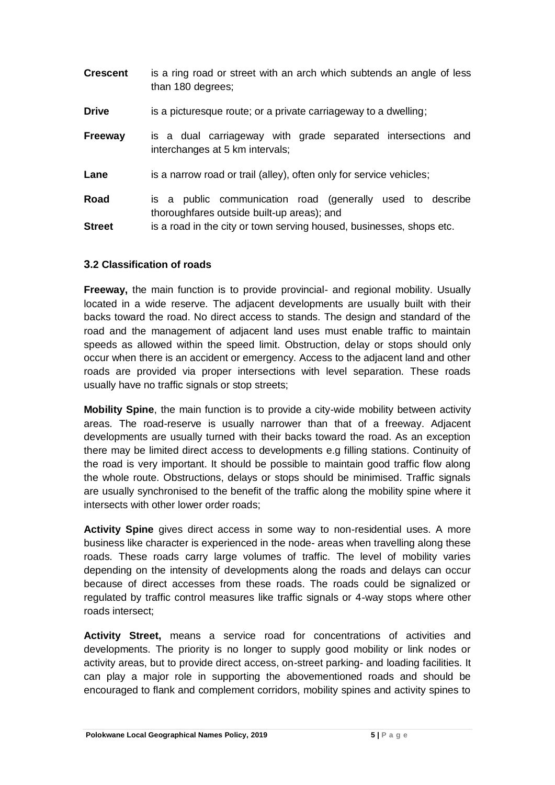| <b>Crescent</b> | is a ring road or street with an arch which subtends an angle of less<br>than 180 degrees;               |
|-----------------|----------------------------------------------------------------------------------------------------------|
| <b>Drive</b>    | is a picturesque route; or a private carriageway to a dwelling;                                          |
| <b>Freeway</b>  | is a dual carriageway with grade separated intersections and<br>interchanges at 5 km intervals;          |
| Lane            | is a narrow road or trail (alley), often only for service vehicles;                                      |
| Road            | is a public communication road (generally used to describe<br>thoroughfares outside built-up areas); and |
| <b>Street</b>   | is a road in the city or town serving housed, businesses, shops etc.                                     |

#### **3.2 Classification of roads**

**Freeway,** the main function is to provide provincial- and regional mobility. Usually located in a wide reserve. The adjacent developments are usually built with their backs toward the road. No direct access to stands. The design and standard of the road and the management of adjacent land uses must enable traffic to maintain speeds as allowed within the speed limit. Obstruction, delay or stops should only occur when there is an accident or emergency. Access to the adjacent land and other roads are provided via proper intersections with level separation. These roads usually have no traffic signals or stop streets;

**Mobility Spine**, the main function is to provide a city-wide mobility between activity areas. The road-reserve is usually narrower than that of a freeway. Adjacent developments are usually turned with their backs toward the road. As an exception there may be limited direct access to developments e.g filling stations. Continuity of the road is very important. It should be possible to maintain good traffic flow along the whole route. Obstructions, delays or stops should be minimised. Traffic signals are usually synchronised to the benefit of the traffic along the mobility spine where it intersects with other lower order roads;

**Activity Spine** gives direct access in some way to non-residential uses. A more business like character is experienced in the node- areas when travelling along these roads. These roads carry large volumes of traffic. The level of mobility varies depending on the intensity of developments along the roads and delays can occur because of direct accesses from these roads. The roads could be signalized or regulated by traffic control measures like traffic signals or 4-way stops where other roads intersect;

**Activity Street,** means a service road for concentrations of activities and developments. The priority is no longer to supply good mobility or link nodes or activity areas, but to provide direct access, on-street parking- and loading facilities. It can play a major role in supporting the abovementioned roads and should be encouraged to flank and complement corridors, mobility spines and activity spines to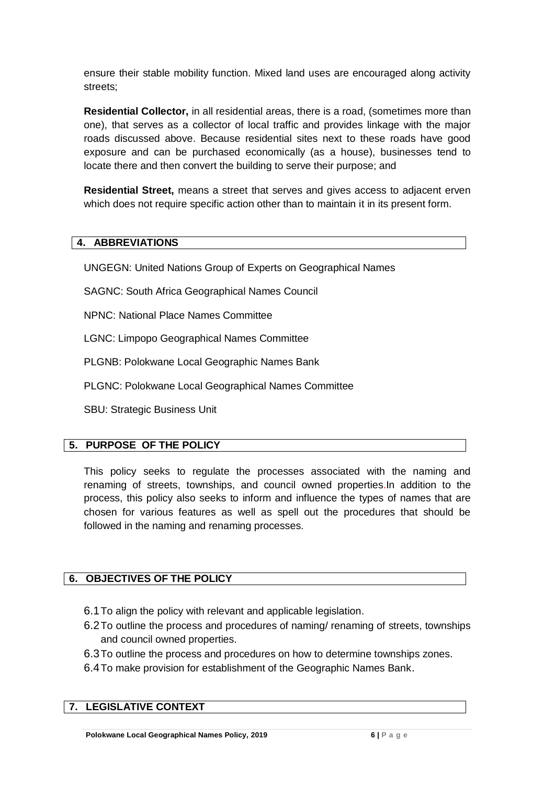ensure their stable mobility function. Mixed land uses are encouraged along activity streets;

**Residential Collector,** in all residential areas, there is a road, (sometimes more than one), that serves as a collector of local traffic and provides linkage with the major roads discussed above. Because residential sites next to these roads have good exposure and can be purchased economically (as a house), businesses tend to locate there and then convert the building to serve their purpose; and

**Residential Street,** means a street that serves and gives access to adjacent erven which does not require specific action other than to maintain it in its present form.

## **4. ABBREVIATIONS**

UNGEGN: United Nations Group of Experts on Geographical Names

SAGNC: South Africa Geographical Names Council

NPNC: National Place Names Committee

LGNC: Limpopo Geographical Names Committee

PLGNB: Polokwane Local Geographic Names Bank

PLGNC: Polokwane Local Geographical Names Committee

SBU: Strategic Business Unit

## **5. PURPOSE OF THE POLICY**

This policy seeks to regulate the processes associated with the naming and renaming of streets, townships, and council owned properties.In addition to the process, this policy also seeks to inform and influence the types of names that are chosen for various features as well as spell out the procedures that should be followed in the naming and renaming processes.

## **6. OBJECTIVES OF THE POLICY**

- 6.1To align the policy with relevant and applicable legislation.
- 6.2To outline the process and procedures of naming/ renaming of streets, townships and council owned properties.
- 6.3To outline the process and procedures on how to determine townships zones.
- 6.4To make provision for establishment of the Geographic Names Bank.

# **7. LEGISLATIVE CONTEXT**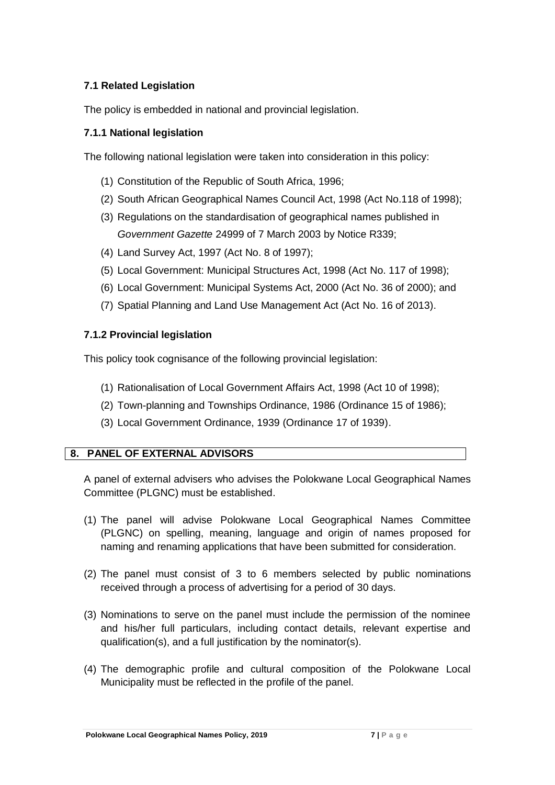## **7.1 Related Legislation**

The policy is embedded in national and provincial legislation.

## **7.1.1 National legislation**

The following national legislation were taken into consideration in this policy:

- (1) Constitution of the Republic of South Africa, 1996;
- (2) South African Geographical Names Council Act, 1998 (Act No.118 of 1998);
- (3) Regulations on the standardisation of geographical names published in *Government Gazette* 24999 of 7 March 2003 by Notice R339;
- (4) Land Survey Act, 1997 (Act No. 8 of 1997);
- (5) Local Government: Municipal Structures Act, 1998 (Act No. 117 of 1998);
- (6) Local Government: Municipal Systems Act, 2000 (Act No. 36 of 2000); and
- (7) Spatial Planning and Land Use Management Act (Act No. 16 of 2013).

#### **7.1.2 Provincial legislation**

This policy took cognisance of the following provincial legislation:

- (1) Rationalisation of Local Government Affairs Act, 1998 (Act 10 of 1998);
- (2) Town-planning and Townships Ordinance, 1986 (Ordinance 15 of 1986);
- (3) Local Government Ordinance, 1939 (Ordinance 17 of 1939).

## **8. PANEL OF EXTERNAL ADVISORS**

A panel of external advisers who advises the Polokwane Local Geographical Names Committee (PLGNC) must be established.

- (1) The panel will advise Polokwane Local Geographical Names Committee (PLGNC) on spelling, meaning, language and origin of names proposed for naming and renaming applications that have been submitted for consideration.
- (2) The panel must consist of 3 to 6 members selected by public nominations received through a process of advertising for a period of 30 days.
- (3) Nominations to serve on the panel must include the permission of the nominee and his/her full particulars, including contact details, relevant expertise and qualification(s), and a full justification by the nominator(s).
- (4) The demographic profile and cultural composition of the Polokwane Local Municipality must be reflected in the profile of the panel.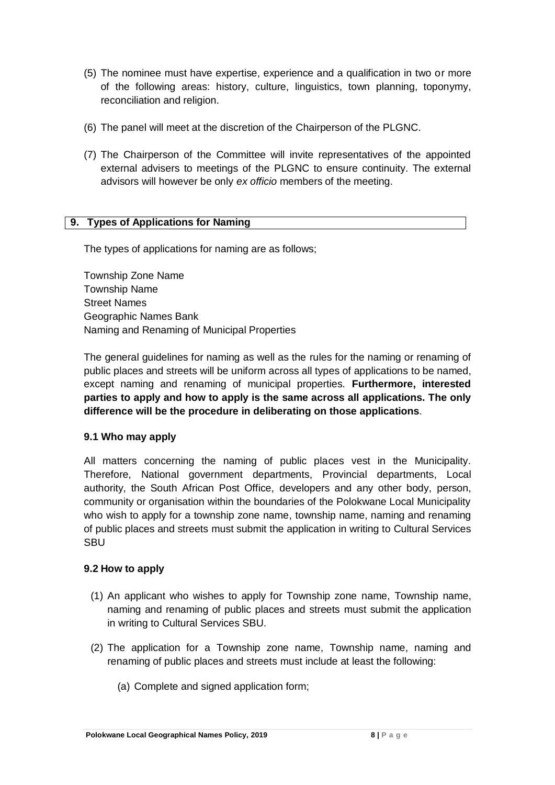- (5) The nominee must have expertise, experience and a qualification in two or more of the following areas: history, culture, linguistics, town planning, toponymy, reconciliation and religion.
- (6) The panel will meet at the discretion of the Chairperson of the PLGNC.
- (7) The Chairperson of the Committee will invite representatives of the appointed external advisers to meetings of the PLGNC to ensure continuity. The external advisors will however be only *ex officio* members of the meeting.

## **9. Types of Applications for Naming**

The types of applications for naming are as follows;

Township Zone Name Township Name Street Names Geographic Names Bank Naming and Renaming of Municipal Properties

The general guidelines for naming as well as the rules for the naming or renaming of public places and streets will be uniform across all types of applications to be named, except naming and renaming of municipal properties. **Furthermore, interested parties to apply and how to apply is the same across all applications. The only difference will be the procedure in deliberating on those applications**.

#### **9.1 Who may apply**

All matters concerning the naming of public places vest in the Municipality. Therefore, National government departments, Provincial departments, Local authority, the South African Post Office, developers and any other body, person, community or organisation within the boundaries of the Polokwane Local Municipality who wish to apply for a township zone name, township name, naming and renaming of public places and streets must submit the application in writing to Cultural Services SBU

#### **9.2 How to apply**

- (1) An applicant who wishes to apply for Township zone name, Township name, naming and renaming of public places and streets must submit the application in writing to Cultural Services SBU.
- (2) The application for a Township zone name, Township name, naming and renaming of public places and streets must include at least the following:
	- (a) Complete and signed application form;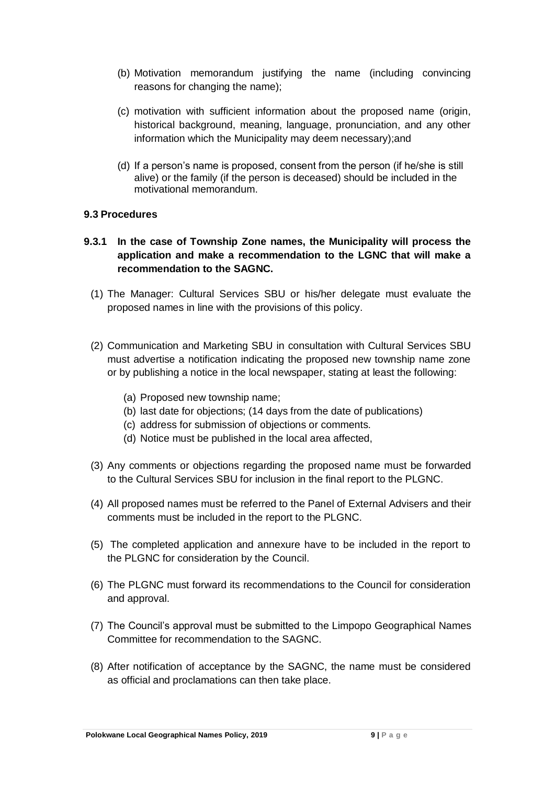- (b) Motivation memorandum justifying the name (including convincing reasons for changing the name);
- (c) motivation with sufficient information about the proposed name (origin, historical background, meaning, language, pronunciation, and any other information which the Municipality may deem necessary);and
- (d) If a person's name is proposed, consent from the person (if he/she is still alive) or the family (if the person is deceased) should be included in the motivational memorandum.

#### **9.3 Procedures**

- **9.3.1 In the case of Township Zone names, the Municipality will process the application and make a recommendation to the LGNC that will make a recommendation to the SAGNC.**
	- (1) The Manager: Cultural Services SBU or his/her delegate must evaluate the proposed names in line with the provisions of this policy.
	- (2) Communication and Marketing SBU in consultation with Cultural Services SBU must advertise a notification indicating the proposed new township name zone or by publishing a notice in the local newspaper, stating at least the following:
		- (a) Proposed new township name;
		- (b) last date for objections; (14 days from the date of publications)
		- (c) address for submission of objections or comments.
		- (d) Notice must be published in the local area affected,
	- (3) Any comments or objections regarding the proposed name must be forwarded to the Cultural Services SBU for inclusion in the final report to the PLGNC.
	- (4) All proposed names must be referred to the Panel of External Advisers and their comments must be included in the report to the PLGNC.
	- (5) The completed application and annexure have to be included in the report to the PLGNC for consideration by the Council.
	- (6) The PLGNC must forward its recommendations to the Council for consideration and approval.
	- (7) The Council's approval must be submitted to the Limpopo Geographical Names Committee for recommendation to the SAGNC.
	- (8) After notification of acceptance by the SAGNC, the name must be considered as official and proclamations can then take place.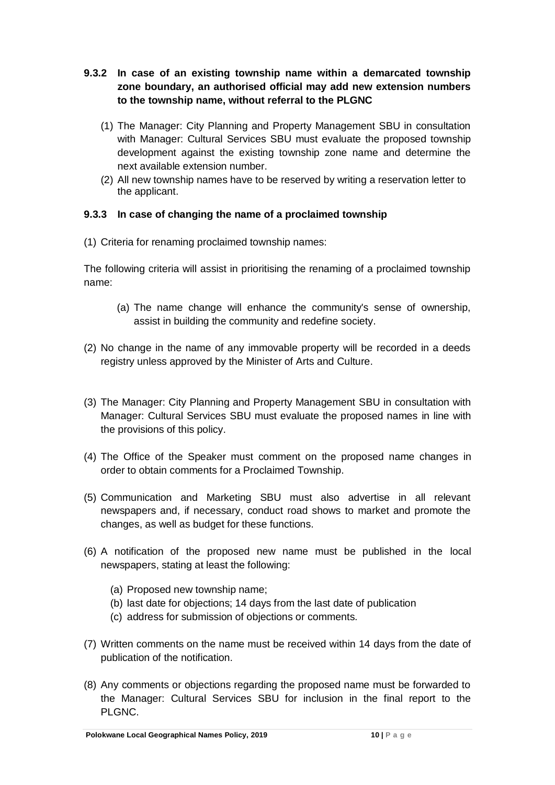- **9.3.2 In case of an existing township name within a demarcated township zone boundary, an authorised official may add new extension numbers to the township name, without referral to the PLGNC**
	- (1) The Manager: City Planning and Property Management SBU in consultation with Manager: Cultural Services SBU must evaluate the proposed township development against the existing township zone name and determine the next available extension number.
	- (2) All new township names have to be reserved by writing a reservation letter to the applicant.

## **9.3.3 In case of changing the name of a proclaimed township**

(1) Criteria for renaming proclaimed township names:

The following criteria will assist in prioritising the renaming of a proclaimed township name:

- (a) The name change will enhance the community's sense of ownership, assist in building the community and redefine society.
- (2) No change in the name of any immovable property will be recorded in a deeds registry unless approved by the Minister of Arts and Culture.
- (3) The Manager: City Planning and Property Management SBU in consultation with Manager: Cultural Services SBU must evaluate the proposed names in line with the provisions of this policy.
- (4) The Office of the Speaker must comment on the proposed name changes in order to obtain comments for a Proclaimed Township.
- (5) Communication and Marketing SBU must also advertise in all relevant newspapers and, if necessary, conduct road shows to market and promote the changes, as well as budget for these functions.
- (6) A notification of the proposed new name must be published in the local newspapers, stating at least the following:
	- (a) Proposed new township name;
	- (b) last date for objections; 14 days from the last date of publication
	- (c) address for submission of objections or comments.
- (7) Written comments on the name must be received within 14 days from the date of publication of the notification.
- (8) Any comments or objections regarding the proposed name must be forwarded to the Manager: Cultural Services SBU for inclusion in the final report to the PLGNC.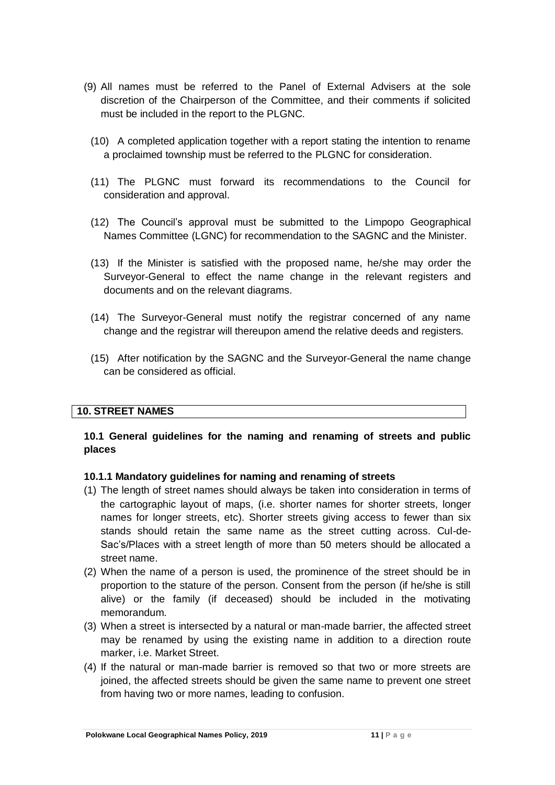- (9) All names must be referred to the Panel of External Advisers at the sole discretion of the Chairperson of the Committee, and their comments if solicited must be included in the report to the PLGNC.
	- (10) A completed application together with a report stating the intention to rename a proclaimed township must be referred to the PLGNC for consideration.
	- (11) The PLGNC must forward its recommendations to the Council for consideration and approval.
	- (12) The Council's approval must be submitted to the Limpopo Geographical Names Committee (LGNC) for recommendation to the SAGNC and the Minister.
	- (13) If the Minister is satisfied with the proposed name, he/she may order the Surveyor-General to effect the name change in the relevant registers and documents and on the relevant diagrams.
	- (14) The Surveyor-General must notify the registrar concerned of any name change and the registrar will thereupon amend the relative deeds and registers.
	- (15) After notification by the SAGNC and the Surveyor-General the name change can be considered as official.

## **10. STREET NAMES**

## **10.1 General guidelines for the naming and renaming of streets and public places**

#### **10.1.1 Mandatory guidelines for naming and renaming of streets**

- (1) The length of street names should always be taken into consideration in terms of the cartographic layout of maps, (i.e. shorter names for shorter streets, longer names for longer streets, etc). Shorter streets giving access to fewer than six stands should retain the same name as the street cutting across. Cul-de-Sac's/Places with a street length of more than 50 meters should be allocated a street name.
- (2) When the name of a person is used, the prominence of the street should be in proportion to the stature of the person. Consent from the person (if he/she is still alive) or the family (if deceased) should be included in the motivating memorandum.
- (3) When a street is intersected by a natural or man-made barrier, the affected street may be renamed by using the existing name in addition to a direction route marker, i.e. Market Street.
- (4) If the natural or man-made barrier is removed so that two or more streets are joined, the affected streets should be given the same name to prevent one street from having two or more names, leading to confusion.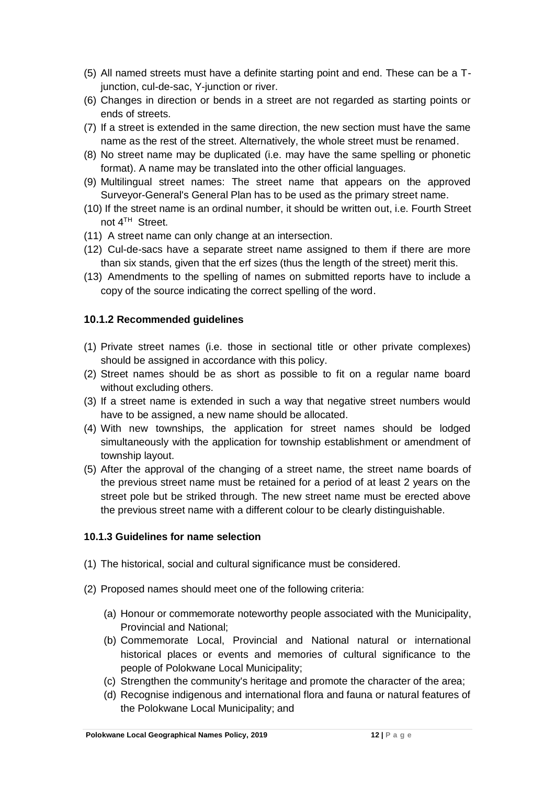- (5) All named streets must have a definite starting point and end. These can be a Tjunction, cul-de-sac, Y-junction or river.
- (6) Changes in direction or bends in a street are not regarded as starting points or ends of streets.
- (7) If a street is extended in the same direction, the new section must have the same name as the rest of the street. Alternatively, the whole street must be renamed.
- (8) No street name may be duplicated (i.e. may have the same spelling or phonetic format). A name may be translated into the other official languages.
- (9) Multilingual street names: The street name that appears on the approved Surveyor-General's General Plan has to be used as the primary street name.
- (10) If the street name is an ordinal number, it should be written out, i.e. Fourth Street not 4TH Street.
- (11) A street name can only change at an intersection.
- (12) Cul-de-sacs have a separate street name assigned to them if there are more than six stands, given that the erf sizes (thus the length of the street) merit this.
- (13) Amendments to the spelling of names on submitted reports have to include a copy of the source indicating the correct spelling of the word.

## **10.1.2 Recommended guidelines**

- (1) Private street names (i.e. those in sectional title or other private complexes) should be assigned in accordance with this policy.
- (2) Street names should be as short as possible to fit on a regular name board without excluding others.
- (3) If a street name is extended in such a way that negative street numbers would have to be assigned, a new name should be allocated.
- (4) With new townships, the application for street names should be lodged simultaneously with the application for township establishment or amendment of township layout.
- (5) After the approval of the changing of a street name, the street name boards of the previous street name must be retained for a period of at least 2 years on the street pole but be striked through. The new street name must be erected above the previous street name with a different colour to be clearly distinguishable.

## **10.1.3 Guidelines for name selection**

- (1) The historical, social and cultural significance must be considered.
- (2) Proposed names should meet one of the following criteria:
	- (a) Honour or commemorate noteworthy people associated with the Municipality, Provincial and National;
	- (b) Commemorate Local, Provincial and National natural or international historical places or events and memories of cultural significance to the people of Polokwane Local Municipality;
	- (c) Strengthen the community's heritage and promote the character of the area;
	- (d) Recognise indigenous and international flora and fauna or natural features of the Polokwane Local Municipality; and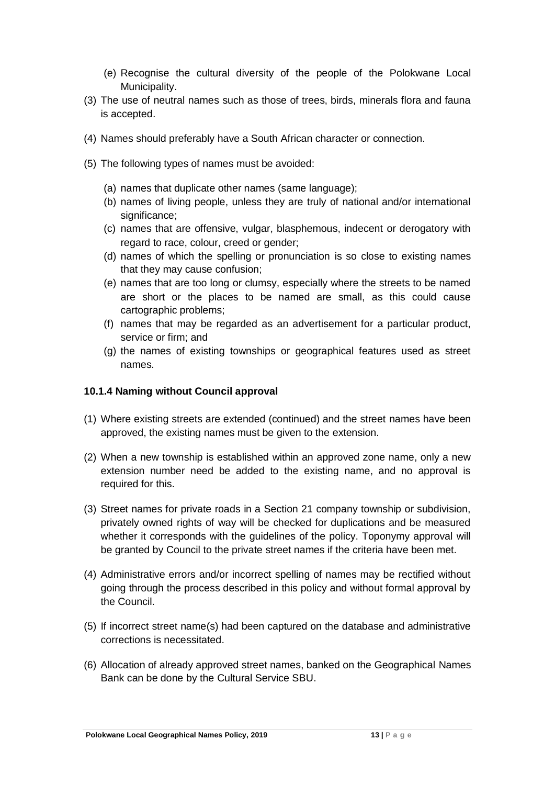- (e) Recognise the cultural diversity of the people of the Polokwane Local Municipality.
- (3) The use of neutral names such as those of trees, birds, minerals flora and fauna is accepted.
- (4) Names should preferably have a South African character or connection.
- (5) The following types of names must be avoided:
	- (a) names that duplicate other names (same language);
	- (b) names of living people, unless they are truly of national and/or international significance;
	- (c) names that are offensive, vulgar, blasphemous, indecent or derogatory with regard to race, colour, creed or gender;
	- (d) names of which the spelling or pronunciation is so close to existing names that they may cause confusion;
	- (e) names that are too long or clumsy, especially where the streets to be named are short or the places to be named are small, as this could cause cartographic problems;
	- (f) names that may be regarded as an advertisement for a particular product, service or firm; and
	- (g) the names of existing townships or geographical features used as street names.

#### **10.1.4 Naming without Council approval**

- (1) Where existing streets are extended (continued) and the street names have been approved, the existing names must be given to the extension.
- (2) When a new township is established within an approved zone name, only a new extension number need be added to the existing name, and no approval is required for this.
- (3) Street names for private roads in a Section 21 company township or subdivision, privately owned rights of way will be checked for duplications and be measured whether it corresponds with the guidelines of the policy. Toponymy approval will be granted by Council to the private street names if the criteria have been met.
- (4) Administrative errors and/or incorrect spelling of names may be rectified without going through the process described in this policy and without formal approval by the Council.
- (5) If incorrect street name(s) had been captured on the database and administrative corrections is necessitated.
- (6) Allocation of already approved street names, banked on the Geographical Names Bank can be done by the Cultural Service SBU.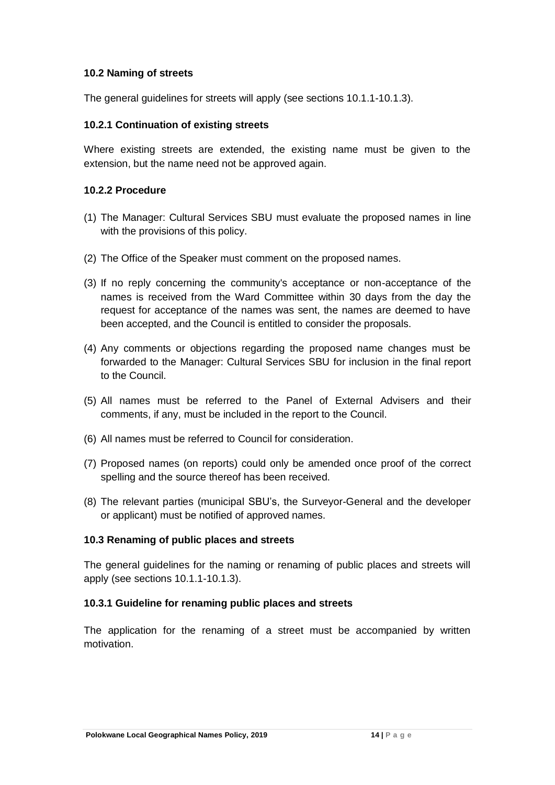#### **10.2 Naming of streets**

The general guidelines for streets will apply (see sections 10.1.1-10.1.3).

#### **10.2.1 Continuation of existing streets**

Where existing streets are extended, the existing name must be given to the extension, but the name need not be approved again.

#### **10.2.2 Procedure**

- (1) The Manager: Cultural Services SBU must evaluate the proposed names in line with the provisions of this policy.
- (2) The Office of the Speaker must comment on the proposed names.
- (3) If no reply concerning the community's acceptance or non-acceptance of the names is received from the Ward Committee within 30 days from the day the request for acceptance of the names was sent, the names are deemed to have been accepted, and the Council is entitled to consider the proposals.
- (4) Any comments or objections regarding the proposed name changes must be forwarded to the Manager: Cultural Services SBU for inclusion in the final report to the Council.
- (5) All names must be referred to the Panel of External Advisers and their comments, if any, must be included in the report to the Council.
- (6) All names must be referred to Council for consideration.
- (7) Proposed names (on reports) could only be amended once proof of the correct spelling and the source thereof has been received.
- (8) The relevant parties (municipal SBU's, the Surveyor-General and the developer or applicant) must be notified of approved names.

#### **10.3 Renaming of public places and streets**

The general guidelines for the naming or renaming of public places and streets will apply (see sections 10.1.1-10.1.3).

#### **10.3.1 Guideline for renaming public places and streets**

The application for the renaming of a street must be accompanied by written motivation.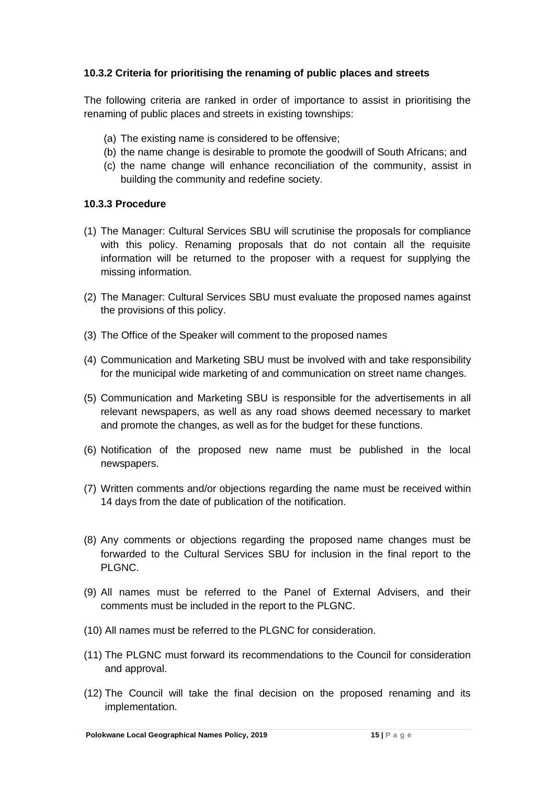## **10.3.2 Criteria for prioritising the renaming of public places and streets**

The following criteria are ranked in order of importance to assist in prioritising the renaming of public places and streets in existing townships:

- (a) The existing name is considered to be offensive;
- (b) the name change is desirable to promote the goodwill of South Africans; and
- (c) the name change will enhance reconciliation of the community, assist in building the community and redefine society.

## **10.3.3 Procedure**

- (1) The Manager: Cultural Services SBU will scrutinise the proposals for compliance with this policy. Renaming proposals that do not contain all the requisite information will be returned to the proposer with a request for supplying the missing information.
- (2) The Manager: Cultural Services SBU must evaluate the proposed names against the provisions of this policy.
- (3) The Office of the Speaker will comment to the proposed names
- (4) Communication and Marketing SBU must be involved with and take responsibility for the municipal wide marketing of and communication on street name changes.
- (5) Communication and Marketing SBU is responsible for the advertisements in all relevant newspapers, as well as any road shows deemed necessary to market and promote the changes, as well as for the budget for these functions.
- (6) Notification of the proposed new name must be published in the local newspapers.
- (7) Written comments and/or objections regarding the name must be received within 14 days from the date of publication of the notification.
- (8) Any comments or objections regarding the proposed name changes must be forwarded to the Cultural Services SBU for inclusion in the final report to the PLGNC.
- (9) All names must be referred to the Panel of External Advisers, and their comments must be included in the report to the PLGNC.
- (10) All names must be referred to the PLGNC for consideration.
- (11) The PLGNC must forward its recommendations to the Council for consideration and approval.
- (12) The Council will take the final decision on the proposed renaming and its implementation.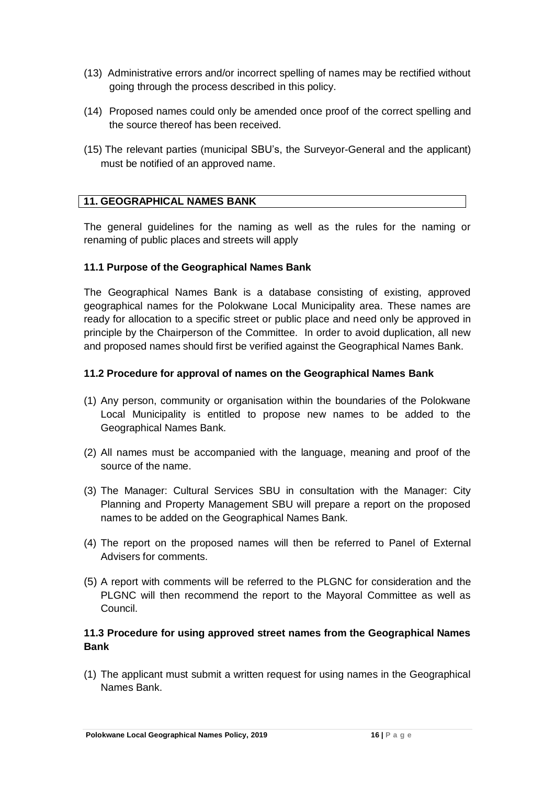- (13) Administrative errors and/or incorrect spelling of names may be rectified without going through the process described in this policy.
- (14) Proposed names could only be amended once proof of the correct spelling and the source thereof has been received.
- (15) The relevant parties (municipal SBU's, the Surveyor-General and the applicant) must be notified of an approved name.

## **11. GEOGRAPHICAL NAMES BANK**

The general guidelines for the naming as well as the rules for the naming or renaming of public places and streets will apply

#### **11.1 Purpose of the Geographical Names Bank**

The Geographical Names Bank is a database consisting of existing, approved geographical names for the Polokwane Local Municipality area. These names are ready for allocation to a specific street or public place and need only be approved in principle by the Chairperson of the Committee. In order to avoid duplication, all new and proposed names should first be verified against the Geographical Names Bank.

#### **11.2 Procedure for approval of names on the Geographical Names Bank**

- (1) Any person, community or organisation within the boundaries of the Polokwane Local Municipality is entitled to propose new names to be added to the Geographical Names Bank.
- (2) All names must be accompanied with the language, meaning and proof of the source of the name.
- (3) The Manager: Cultural Services SBU in consultation with the Manager: City Planning and Property Management SBU will prepare a report on the proposed names to be added on the Geographical Names Bank.
- (4) The report on the proposed names will then be referred to Panel of External Advisers for comments.
- (5) A report with comments will be referred to the PLGNC for consideration and the PLGNC will then recommend the report to the Mayoral Committee as well as Council.

## **11.3 Procedure for using approved street names from the Geographical Names Bank**

(1) The applicant must submit a written request for using names in the Geographical Names Bank.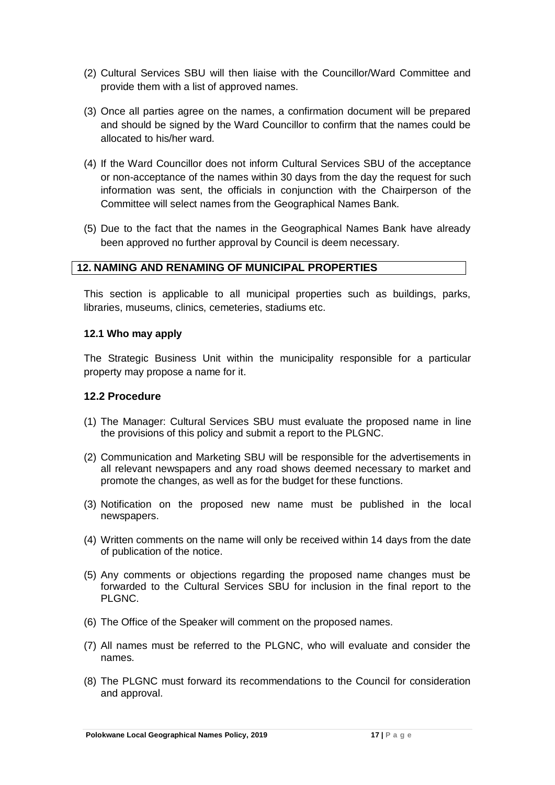- (2) Cultural Services SBU will then liaise with the Councillor/Ward Committee and provide them with a list of approved names.
- (3) Once all parties agree on the names, a confirmation document will be prepared and should be signed by the Ward Councillor to confirm that the names could be allocated to his/her ward.
- (4) If the Ward Councillor does not inform Cultural Services SBU of the acceptance or non-acceptance of the names within 30 days from the day the request for such information was sent, the officials in conjunction with the Chairperson of the Committee will select names from the Geographical Names Bank.
- (5) Due to the fact that the names in the Geographical Names Bank have already been approved no further approval by Council is deem necessary.

#### **12. NAMING AND RENAMING OF MUNICIPAL PROPERTIES**

This section is applicable to all municipal properties such as buildings, parks, libraries, museums, clinics, cemeteries, stadiums etc.

#### **12.1 Who may apply**

The Strategic Business Unit within the municipality responsible for a particular property may propose a name for it.

#### **12.2 Procedure**

- (1) The Manager: Cultural Services SBU must evaluate the proposed name in line the provisions of this policy and submit a report to the PLGNC.
- (2) Communication and Marketing SBU will be responsible for the advertisements in all relevant newspapers and any road shows deemed necessary to market and promote the changes, as well as for the budget for these functions.
- (3) Notification on the proposed new name must be published in the local newspapers.
- (4) Written comments on the name will only be received within 14 days from the date of publication of the notice.
- (5) Any comments or objections regarding the proposed name changes must be forwarded to the Cultural Services SBU for inclusion in the final report to the PLGNC.
- (6) The Office of the Speaker will comment on the proposed names.
- (7) All names must be referred to the PLGNC, who will evaluate and consider the names.
- (8) The PLGNC must forward its recommendations to the Council for consideration and approval.